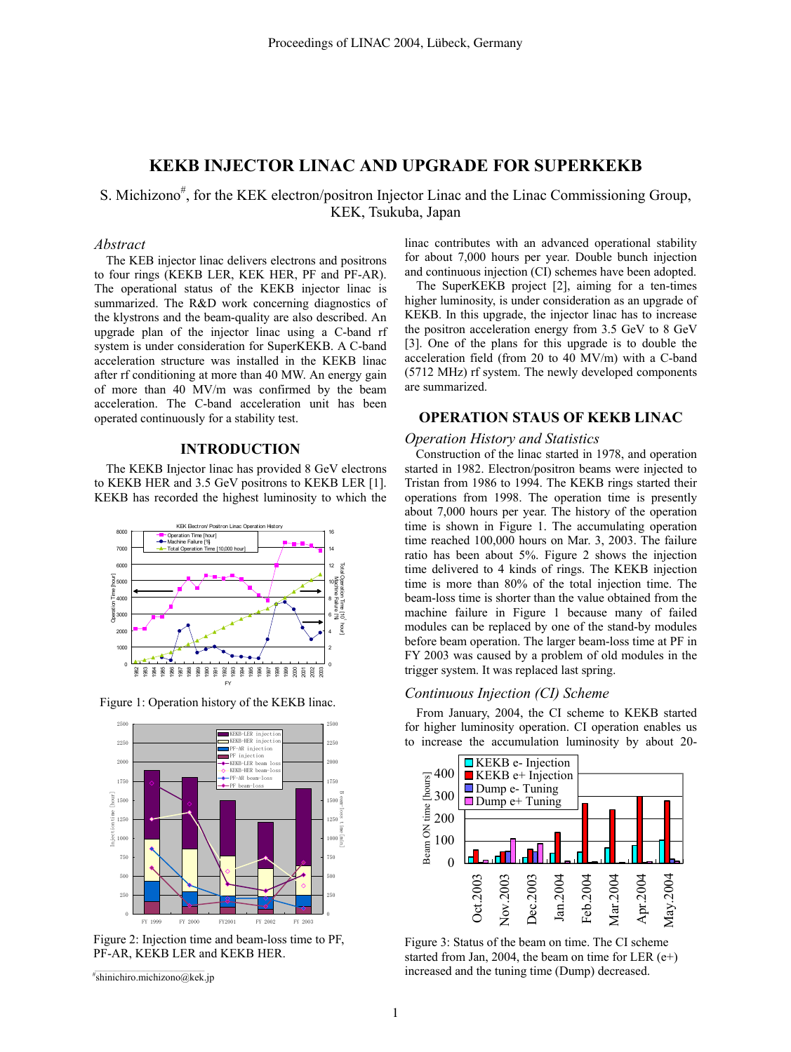# **KEKB INJECTOR LINAC AND UPGRADE FOR SUPERKEKB**

S. Michizono<sup>#</sup>, for the KEK electron/positron Injector Linac and the Linac Commissioning Group, KEK, Tsukuba, Japan

## *Abstract*

The KEB injector linac delivers electrons and positrons to four rings (KEKB LER, KEK HER, PF and PF-AR). The operational status of the KEKB injector linac is summarized. The R&D work concerning diagnostics of the klystrons and the beam-quality are also described. An upgrade plan of the injector linac using a C-band rf system is under consideration for SuperKEKB. A C-band acceleration structure was installed in the KEKB linac after rf conditioning at more than 40 MW. An energy gain of more than 40 MV/m was confirmed by the beam acceleration. The C-band acceleration unit has been operated continuously for a stability test.

### **INTRODUCTION**

The KEKB Injector linac has provided 8 GeV electrons to KEKB HER and 3.5 GeV positrons to KEKB LER [1]. KEKB has recorded the highest luminosity to which the



Figure 1: Operation history of the KEKB linac.



Figure 2: Injection time and beam-loss time to PF, PF-AR, KEKB LER and KEKB HER.

# shinichiro.michizono@kek.jp

linac contributes with an advanced operational stability for about 7,000 hours per year. Double bunch injection and continuous injection (CI) schemes have been adopted.

The SuperKEKB project [2], aiming for a ten-times higher luminosity, is under consideration as an upgrade of KEKB. In this upgrade, the injector linac has to increase the positron acceleration energy from 3.5 GeV to 8 GeV [3]. One of the plans for this upgrade is to double the acceleration field (from 20 to 40 MV/m) with a C-band (5712 MHz) rf system. The newly developed components are summarized.

## **OPERATION STAUS OF KEKB LINAC**

#### *Operation History and Statistics*

Construction of the linac started in 1978, and operation started in 1982. Electron/positron beams were injected to Tristan from 1986 to 1994. The KEKB rings started their operations from 1998. The operation time is presently about 7,000 hours per year. The history of the operation time is shown in Figure 1. The accumulating operation time reached 100,000 hours on Mar. 3, 2003. The failure ratio has been about 5%. Figure 2 shows the injection time delivered to 4 kinds of rings. The KEKB injection time is more than 80% of the total injection time. The beam-loss time is shorter than the value obtained from the machine failure in Figure 1 because many of failed modules can be replaced by one of the stand-by modules before beam operation. The larger beam-loss time at PF in FY 2003 was caused by a problem of old modules in the trigger system. It was replaced last spring.

#### *Continuous Injection (CI) Scheme*

From January, 2004, the CI scheme to KEKB started for higher luminosity operation. CI operation enables us to increase the accumulation luminosity by about 20-



Figure 3: Status of the beam on time. The CI scheme started from Jan, 2004, the beam on time for LER  $(e+)$ increased and the tuning time (Dump) decreased.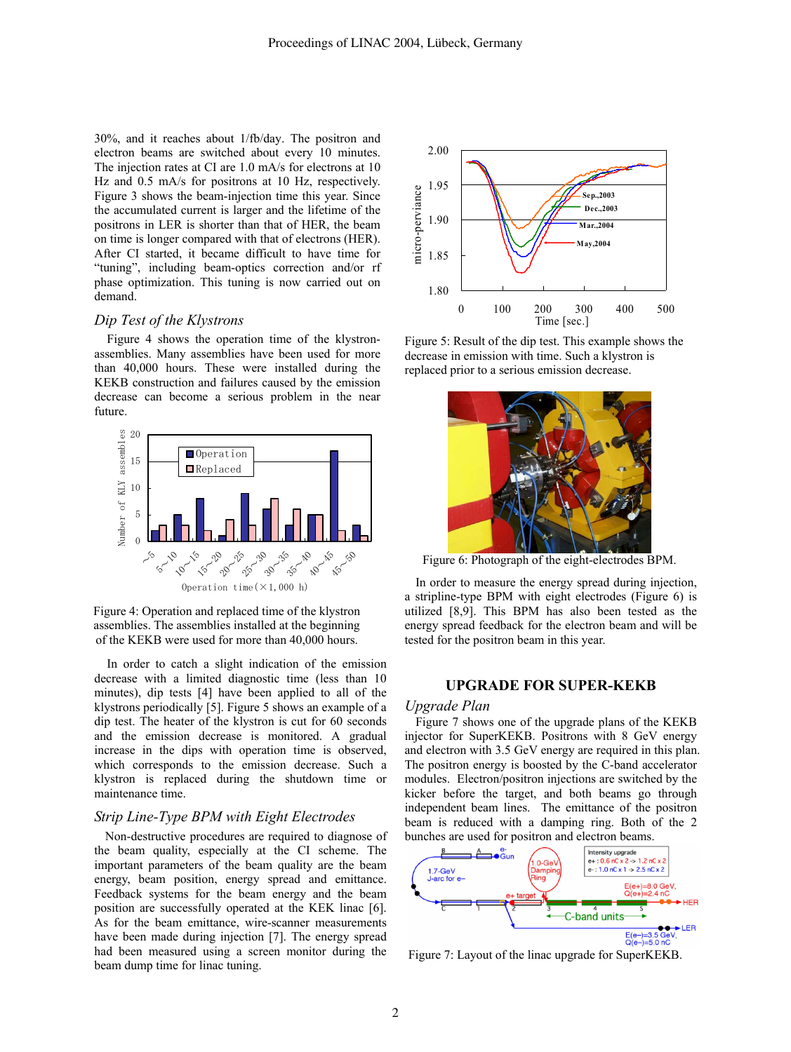30%, and it reaches about 1/fb/day. The positron and electron beams are switched about every 10 minutes. The injection rates at CI are 1.0 mA/s for electrons at 10 Hz and 0.5 mA/s for positrons at 10 Hz, respectively. Figure 3 shows the beam-injection time this year. Since the accumulated current is larger and the lifetime of the positrons in LER is shorter than that of HER, the beam on time is longer compared with that of electrons (HER). After CI started, it became difficult to have time for "tuning", including beam-optics correction and/or rf phase optimization. This tuning is now carried out on demand.

## *Dip Test of the Klystrons*

Figure 4 shows the operation time of the klystronassemblies. Many assemblies have been used for more than 40,000 hours. These were installed during the KEKB construction and failures caused by the emission decrease can become a serious problem in the near future.



Figure 4: Operation and replaced time of the klystron assemblies. The assemblies installed at the beginning of the KEKB were used for more than 40,000 hours.

In order to catch a slight indication of the emission decrease with a limited diagnostic time (less than 10 minutes), dip tests [4] have been applied to all of the klystrons periodically [5]. Figure 5 shows an example of a dip test. The heater of the klystron is cut for 60 seconds and the emission decrease is monitored. A gradual increase in the dips with operation time is observed, which corresponds to the emission decrease. Such a klystron is replaced during the shutdown time or maintenance time.

## *Strip Line-Type BPM with Eight Electrodes*

Non-destructive procedures are required to diagnose of the beam quality, especially at the CI scheme. The important parameters of the beam quality are the beam energy, beam position, energy spread and emittance. Feedback systems for the beam energy and the beam position are successfully operated at the KEK linac [6]. As for the beam emittance, wire-scanner measurements have been made during injection [7]. The energy spread had been measured using a screen monitor during the beam dump time for linac tuning.



Figure 5: Result of the dip test. This example shows the decrease in emission with time. Such a klystron is replaced prior to a serious emission decrease.



Figure 6: Photograph of the eight-electrodes BPM.

In order to measure the energy spread during injection, a stripline-type BPM with eight electrodes (Figure 6) is utilized [8,9]. This BPM has also been tested as the energy spread feedback for the electron beam and will be tested for the positron beam in this year.

## **UPGRADE FOR SUPER-KEKB**

#### *Upgrade Plan*

Figure 7 shows one of the upgrade plans of the KEKB injector for SuperKEKB. Positrons with 8 GeV energy and electron with 3.5 GeV energy are required in this plan. The positron energy is boosted by the C-band accelerator modules. Electron/positron injections are switched by the kicker before the target, and both beams go through independent beam lines. The emittance of the positron beam is reduced with a damping ring. Both of the 2 bunches are used for positron and electron beams.



Figure 7: Layout of the linac upgrade for SuperKEKB.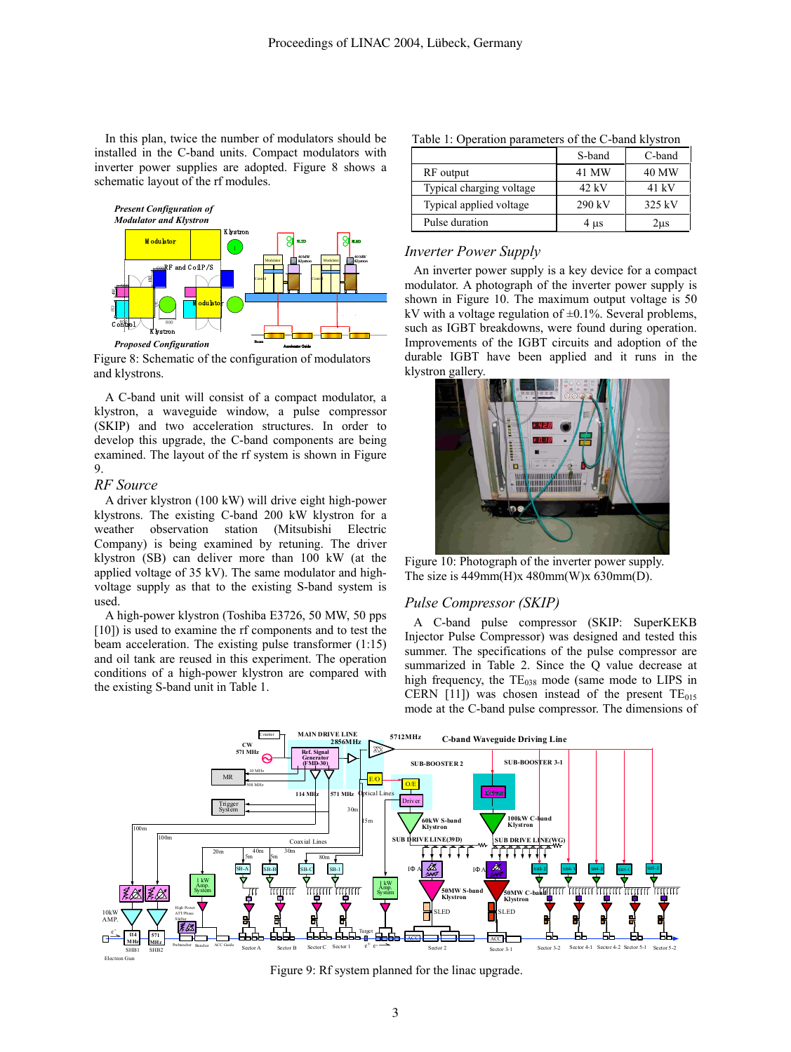In this plan, twice the number of modulators should be installed in the C-band units. Compact modulators with inverter power supplies are adopted. Figure 8 shows a schematic layout of the rf modules.



Figure 8: Schematic of the configuration of modulators and klystrons.

A C-band unit will consist of a compact modulator, a klystron, a waveguide window, a pulse compressor (SKIP) and two acceleration structures. In order to develop this upgrade, the C-band components are being examined. The layout of the rf system is shown in Figure 9.

#### *RF Source*

A driver klystron (100 kW) will drive eight high-power klystrons. The existing C-band 200 kW klystron for a weather observation station (Mitsubishi Electric Company) is being examined by retuning. The driver klystron (SB) can deliver more than 100 kW (at the applied voltage of 35 kV). The same modulator and highvoltage supply as that to the existing S-band system is used.

A high-power klystron (Toshiba E3726, 50 MW, 50 pps [10]) is used to examine the rf components and to test the beam acceleration. The existing pulse transformer (1:15) and oil tank are reused in this experiment. The operation conditions of a high-power klystron are compared with the existing S-band unit in Table 1.

|                          | S-band    | C-band |
|--------------------------|-----------|--------|
| RF output                | 41 MW     | 40 MW  |
| Typical charging voltage | 42 kV     | 41 kV  |
| Typical applied voltage  | 290 kV    | 325 kV |
| Pulse duration           | $4 \mu s$ | 2us    |

## *Inverter Power Supply*

An inverter power supply is a key device for a compact modulator. A photograph of the inverter power supply is shown in Figure 10. The maximum output voltage is 50 kV with a voltage regulation of  $\pm 0.1\%$ . Several problems, such as IGBT breakdowns, were found during operation. Improvements of the IGBT circuits and adoption of the durable IGBT have been applied and it runs in the klystron gallery.



Figure 10: Photograph of the inverter power supply. The size is  $449mm(H)x 480mm(W)x 630mm(D)$ .

## *Pulse Compressor (SKIP)*

A C-band pulse compressor (SKIP: SuperKEKB Injector Pulse Compressor) was designed and tested this summer. The specifications of the pulse compressor are summarized in Table 2. Since the Q value decrease at high frequency, the  $TE<sub>038</sub>$  mode (same mode to LIPS in CERN [11]) was chosen instead of the present  $TE_{015}$ mode at the C-band pulse compressor. The dimensions of



Figure 9: Rf system planned for the linac upgrade.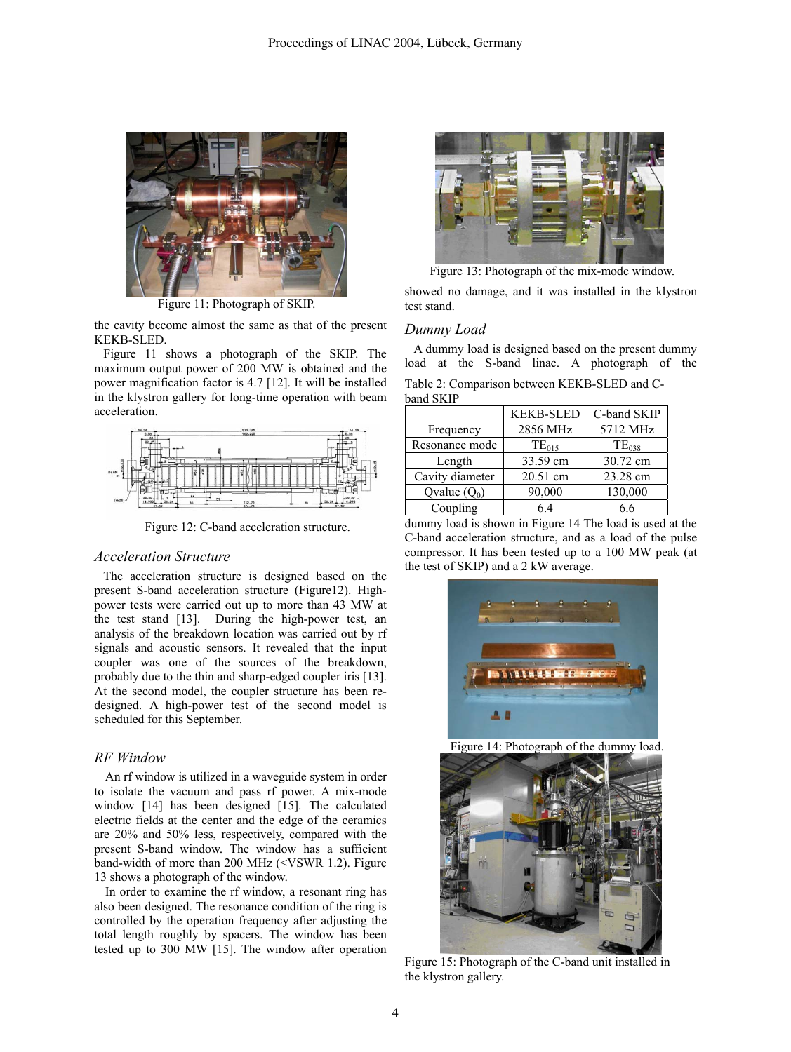

Figure 11: Photograph of SKIP.

the cavity become almost the same as that of the present KEKB-SLED.

Figure 11 shows a photograph of the SKIP. The maximum output power of 200 MW is obtained and the power magnification factor is 4.7 [12]. It will be installed in the klystron gallery for long-time operation with beam acceleration.



Figure 12: C-band acceleration structure.

## *Acceleration Structure*

The acceleration structure is designed based on the present S-band acceleration structure (Figure12). Highpower tests were carried out up to more than 43 MW at the test stand [13]. During the high-power test, an analysis of the breakdown location was carried out by rf signals and acoustic sensors. It revealed that the input coupler was one of the sources of the breakdown, probably due to the thin and sharp-edged coupler iris [13]. At the second model, the coupler structure has been redesigned. A high-power test of the second model is scheduled for this September.

### *RF Window*

An rf window is utilized in a waveguide system in order to isolate the vacuum and pass rf power. A mix-mode window [14] has been designed [15]. The calculated electric fields at the center and the edge of the ceramics are 20% and 50% less, respectively, compared with the present S-band window. The window has a sufficient band-width of more than 200 MHz (<VSWR 1.2). Figure 13 shows a photograph of the window.

In order to examine the rf window, a resonant ring has also been designed. The resonance condition of the ring is controlled by the operation frequency after adjusting the total length roughly by spacers. The window has been tested up to 300 MW [15]. The window after operation



Figure 13: Photograph of the mix-mode window.

showed no damage, and it was installed in the klystron test stand.

#### *Dummy Load*

A dummy load is designed based on the present dummy load at the S-band linac. A photograph of the Table 2: Comparison between KEKB-SLED and Cband SKIP

|                 | <b>KEKB-SLED</b> | C-band SKIP |  |
|-----------------|------------------|-------------|--|
| Frequency       | 2856 MHz         | 5712 MHz    |  |
| Resonance mode  | $TE_{015}$       | $TE_{038}$  |  |
| Length          | 33.59 cm         | 30.72 cm    |  |
| Cavity diameter | 20.51 cm         | 23.28 cm    |  |
| Qvalue $(Q_0)$  | 90,000           | 130,000     |  |
| Coupling        | 64               | 6.6         |  |

dummy load is shown in Figure 14 The load is used at the C-band acceleration structure, and as a load of the pulse compressor. It has been tested up to a 100 MW peak (at the test of SKIP) and a 2 kW average.



Figure 14: Photograph of the dummy load.



Figure 15: Photograph of the C-band unit installed in the klystron gallery.